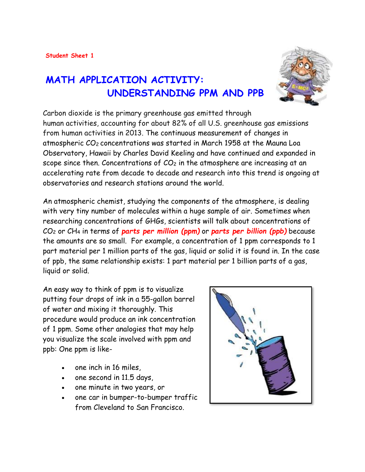# **MATH APPLICATION ACTIVITY: UNDERSTANDING PPM AND PPB**



Carbon dioxide is the primary greenhouse gas emitted through human activities, accounting for about 82% of all U.S. greenhouse gas emissions from human activities in 2013. The continuous measurement of changes in atmospheric CO<sup>2</sup> concentrations was started in March 1958 at the Mauna Loa Observatory, Hawaii by Charles David Keeling and have continued and expanded in scope since then. Concentrations of  $CO<sub>2</sub>$  in the atmosphere are increasing at an [accelerating rate](http://www.co2now.org/Current-CO2/CO2-Trend/acceleration-of-atmospheric-co2.html) from decade to decade and research into this trend is ongoing at observatories and research stations around the world.

An atmospheric chemist, studying the components of the atmosphere, is dealing with very tiny number of molecules within a huge sample of air. Sometimes when researching concentrations of GHGs, scientists will talk about concentrations of CO<sup>2</sup> or CH<sup>4</sup> in terms of *parts per million (ppm)* or *parts per billion (ppb)* because the amounts are so small. For example, a concentration of 1 ppm corresponds to 1 part material per 1 million parts of the gas, liquid or solid it is found in. In the case of ppb, the same relationship exists: 1 part material per 1 billion parts of a gas, liquid or solid.

An easy way to think of ppm is to visualize putting four drops of ink in a 55-gallon barrel of water and mixing it thoroughly. This procedure would produce an ink concentration of 1 ppm. Some other analogies that may help you visualize the scale involved with ppm and ppb: One ppm is like-

- one inch in 16 miles,
- one second in 11.5 days,
- one minute in two years, or
- one car in bumper-to-bumper traffic from Cleveland to San Francisco.

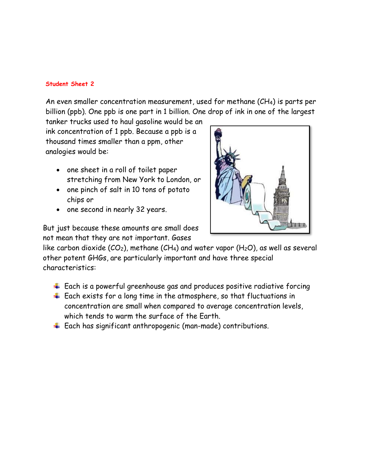An even smaller concentration measurement, used for methane (CH4) is parts per billion (ppb). One ppb is one part in 1 billion. One drop of ink in one of the largest

tanker trucks used to haul gasoline would be an ink concentration of 1 ppb. Because a ppb is a thousand times smaller than a ppm, other analogies would be:

- one sheet in a roll of toilet paper stretching from New York to London, or
- one pinch of salt in 10 tons of potato chips or
- one second in nearly 32 years.



But just because these amounts are small does not mean that they are not important. Gases

like carbon dioxide ( $CO<sub>2</sub>$ ), methane (CH<sub>4</sub>) and water vapor (H<sub>2</sub>O), as well as several other potent GHGs, are particularly important and have three special characteristics:

- $\ddotplus$  Each is a powerful greenhouse gas and produces positive radiative forcing
- $\ddotplus$  Each exists for a long time in the atmosphere, so that fluctuations in concentration are small when compared to average concentration levels, which tends to warm the surface of the Earth.
- $\ddotplus$  Each has significant anthropogenic (man-made) contributions.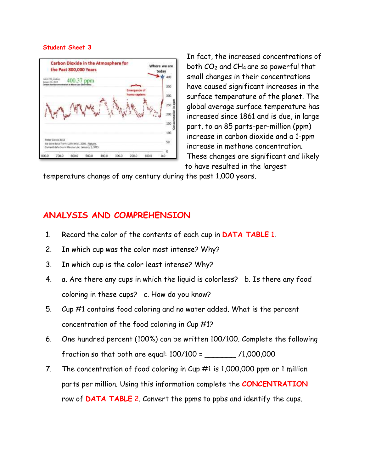

In fact, the increased concentrations of both CO<sup>2</sup> and CH<sup>4</sup> are so powerful that small changes in their concentrations have caused significant increases in the surface temperature of the planet. The global average surface temperature has increased since 1861 and is due, in large part, to an 85 parts-per-million (ppm) increase in carbon dioxide and a 1-ppm increase in methane concentration. These changes are significant and likely to have resulted in the largest

temperature change of any century during the past 1,000 years.

### **ANALYSIS AND COMPREHENSION**

- 1. Record the color of the contents of each cup in **DATA TABLE** 1.
- 2. In which cup was the color most intense? Why?
- 3. In which cup is the color least intense? Why?
- 4. a. Are there any cups in which the liquid is colorless? b. Is there any food coloring in these cups? c. How do you know?
- 5. Cup #1 contains food coloring and no water added. What is the percent concentration of the food coloring in Cup #1?
- 6. One hundred percent (100%) can be written 100/100. Complete the following fraction so that both are equal: 100/100 = \_\_\_\_\_\_\_ /1,000,000
- 7. The concentration of food coloring in Cup #1 is 1,000,000 ppm or 1 million parts per million. Using this information complete the **CONCENTRATION** row of **DATA TABLE** 2. Convert the ppms to ppbs and identify the cups.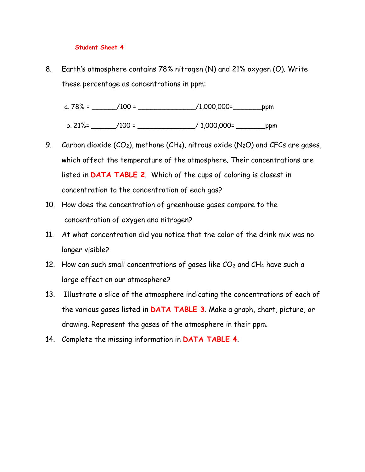8. Earth's atmosphere contains 78% nitrogen (N) and 21% oxygen (O). Write these percentage as concentrations in ppm:

a.  $78\% =$  \_\_\_\_\_\_\_/100 = \_\_\_\_\_\_\_\_\_\_\_\_\_\_\_\_\_\_\_\_/1,000,000= \_\_\_\_\_\_\_\_\_\_\_\_\_\_\_\_\_\_\_\_\_\_\_\_

b. 21%= \_\_\_\_\_\_/100 = \_\_\_\_\_\_\_\_\_\_\_\_\_\_/ 1,000,000= \_\_\_\_\_\_\_ppm

- 9. Carbon dioxide  $(CO_2)$ , methane  $(CH_4)$ , nitrous oxide  $(N_2O)$  and CFCs are gases, which affect the temperature of the atmosphere. Their concentrations are listed in **DATA TABLE 2**. Which of the cups of coloring is closest in concentration to the concentration of each gas?
- 10. How does the concentration of greenhouse gases compare to the concentration of oxygen and nitrogen?
- 11. At what concentration did you notice that the color of the drink mix was no longer visible?
- 12. How can such small concentrations of gases like  $CO<sub>2</sub>$  and  $CH<sub>4</sub>$  have such a large effect on our atmosphere?
- 13. Illustrate a slice of the atmosphere indicating the concentrations of each of the various gases listed in **DATA TABLE 3**. Make a graph, chart, picture, or drawing. Represent the gases of the atmosphere in their ppm.
- 14. Complete the missing information in **DATA TABLE 4**.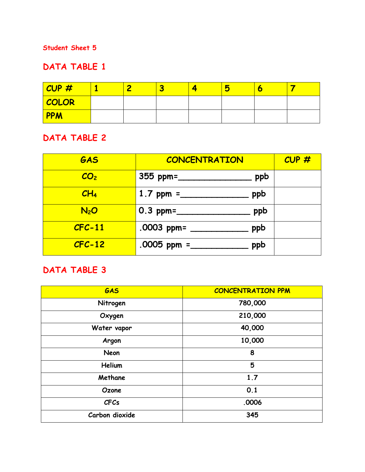## **DATA TABLE 1**

| CUP#       |  |  | $\bullet$ |  |
|------------|--|--|-----------|--|
| COLOR      |  |  |           |  |
| <b>PPM</b> |  |  |           |  |

### **DATA TABLE 2**

| GAS              | <b>CONCENTRATION</b>                 | CUP# |
|------------------|--------------------------------------|------|
| CO <sub>2</sub>  | 355 ppm= $\frac{2}{\sqrt{2}}$<br>ppb |      |
| CH <sub>4</sub>  | ppb                                  |      |
| N <sub>2</sub> O | ppb                                  |      |
| $CFC-11$         | .0003 ppm= _____<br>ppb              |      |
| $CFC-12$         | $.0005$ ppm =<br>ppb                 |      |

## **DATA TABLE 3**

| GAS            | <b>CONCENTRATION PPM</b> |  |  |  |
|----------------|--------------------------|--|--|--|
| Nitrogen       | 780,000                  |  |  |  |
| Oxygen         | 210,000                  |  |  |  |
| Water vapor    | 40,000                   |  |  |  |
| Argon          | 10,000                   |  |  |  |
| <b>Neon</b>    | 8                        |  |  |  |
| Helium         | 5                        |  |  |  |
| Methane        | 1.7                      |  |  |  |
| Ozone          | 0.1                      |  |  |  |
| <b>CFCs</b>    | .0006                    |  |  |  |
| Carbon dioxide | 345                      |  |  |  |